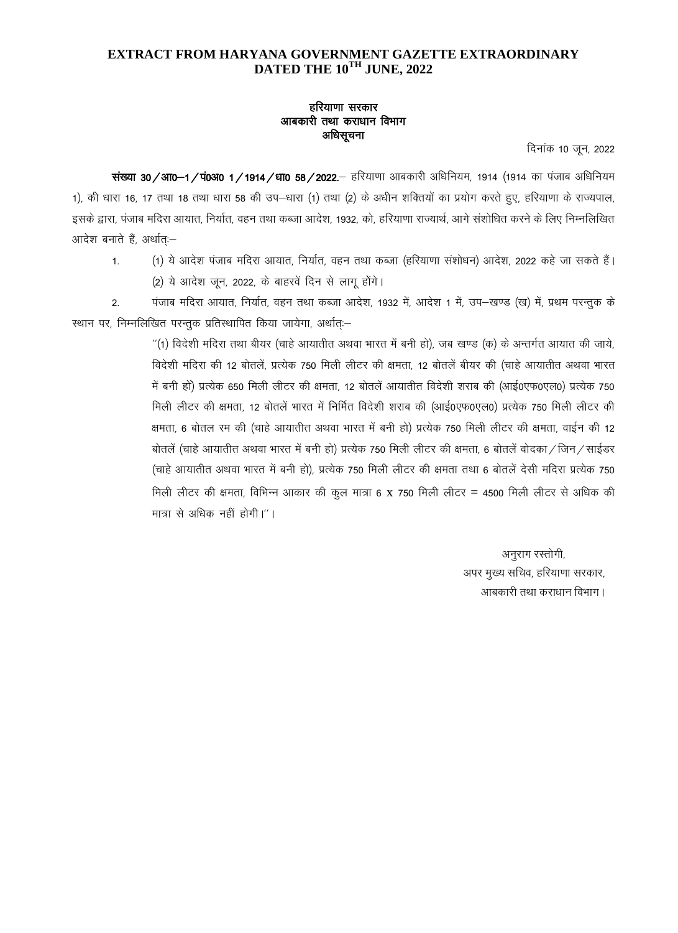## EXTRACT FROM HARYANA GOVERNMENT GAZETTE EXTRAORDINARY DATED THE 10TH JUNE, 2022

## हरियाणा सरकार आबकारी तथा कराधान विभाग अधिसूचना

दिनांक 10 जून, 2022

संख्या 30/आ0–1/पं0अ0 1/1914/धा0 58/2022.– हरियाणा आबकारी अधिनियम, 1914 (1914 का पंजाब अधिनियम 1), की धारा 16, 17 तथा 18 तथा धारा 58 की उप-धारा (1) तथा (2) के अधीन शक्तियों का प्रयोग करते हुए, हरियाणा के राज्यपाल, इसके द्वारा, पंजाब मदिरा आयात, निर्यात, वहन तथा कब्जा आदेश, 1932, को, हरियाणा राज्यार्थ, आगे संशोधित करने के लिए निम्नलिखित आदेश बनाते हैं. अर्थात -

(1) ये आदेश पंजाब मदिरा आयात, निर्यात, वहन तथा कब्जा (हरियाणा संशोधन) आदेश, 2022 कहे जा सकते हैं।  $\mathbf{1}$ . (2) ये आदेश जून, 2022, के बाहरवें दिन से लागू होंगे।

पंजाब मदिरा आयात, निर्यात, वहन तथा कब्जा आदेश, 1932 में, आदेश 1 में, उप–खण्ड (ख) में, प्रथम परन्तुक के  $\mathfrak{p}$ स्थान पर, निम्नलिखित परन्तुक प्रतिस्थापित किया जायेगा, अर्थातः-

> "(1) विदेशी मदिरा तथा बीयर (चाहे आयातीत अथवा भारत में बनी हो), जब खण्ड (क) के अन्तर्गत आयात की जाये, विदेशी मदिरा की 12 बोतलें, प्रत्येक 750 मिली लीटर की क्षमता, 12 बोतलें बीयर की (चाहे आयातीत अथवा भारत में बनी हो) प्रत्येक 650 मिली लीटर की क्षमता, 12 बोतलें आयातीत विदेशी शराब की (आई0एफ0एल0) प्रत्येक 750 मिली लीटर की क्षमता, 12 बोतलें भारत में निर्मित विदेशी शराब की (आई0एफ0एल0) प्रत्येक 750 मिली लीटर की क्षमता, 6 बोतल रम की (चाहे आयातीत अथवा भारत में बनी हो) प्रत्येक 750 मिली लीटर की क्षमता, वाईन की 12 बोतलें (चाहे आयातीत अथवा भारत में बनी हो) प्रत्येक 750 मिली लीटर की क्षमता, 6 बोतलें वोदका / जिन / साईडर (चाहे आयातीत अथवा भारत में बनी हो), प्रत्येक 750 मिली लीटर की क्षमता तथा 6 बोतलें देसी मदिरा प्रत्येक 750 मिली लीटर की क्षमता, विभिन्न आकार की कूल मात्रा 6 x 750 मिली लीटर = 4500 मिली लीटर से अधिक की मात्रा से अधिक नहीं होगी।''।

> > अनुराग रस्तोगी, अपर मुख्य सचिव, हरियाणा सरकार, आबकारी तथा कराधान विभाग।